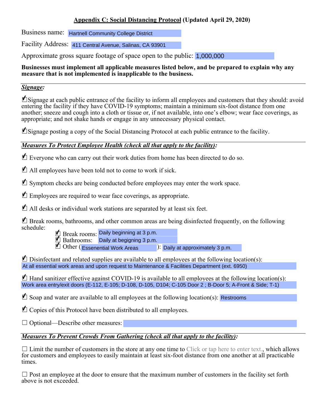### **Appendix C: Social Distancing Protocol (Updated April 29, 2020)**

Business name: Hartnell Community College District

Facility Address: 411 Central Avenue, Salinas, CA 93901

Approximate gross square footage of space open to the public: 1,000,000

#### **Businesses must implement all applicable measures listed below, and be prepared to explain why any measure that is not implemented is inapplicable to the business.**

#### *Signage:*

■Signage at each public entrance of the facility to inform all employees and customers that they should: avoid entering the facility if they have COVID-19 symptoms; maintain a minimum six-foot distance from one another; sneeze and cough into a cloth or tissue or, if not available, into one's elbow; wear face coverings, as appropriate; and not shake hands or engage in any unnecessary physical contact.

■ Signage posting a copy of the Social Distancing Protocol at each public entrance to the facility.

## *Measures To Protect Employee Health (check all that apply to the facility):*

■ Everyone who can carry out their work duties from home has been directed to do so.

■ All employees have been told not to come to work if sick.

■ Symptom checks are being conducted before employees may enter the work space.

■ Employees are required to wear face coverings, as appropriate.

■ All desks or individual work stations are separated by at least six feet.

■ Break rooms, bathrooms, and other common areas are being disinfected frequently, on the following schedule:

**g** Break rooms: Daily beginning at 3 p.m. **4** Bathrooms: Daily at begigning 3 p.m.

 $\blacksquare$  Other (Essenential Work Areas  $\blacksquare$ ): Daily at approximately 3 p.m.

 $\blacksquare$  Disinfectant and related supplies are available to all employees at the following location(s): At all essential work areas and upon request to Maintenance & Facilities Department (ext. 6950)

 $\blacksquare$  Hand sanitizer effective against COVID-19 is available to all employees at the following location(s): Work area entry/exit doors (E-112, E-105; D-108, D-105, D104; C-105 Door 2 ; B-Door 5; A-Front & Side; T-1)

 $\blacksquare$  Soap and water are available to all employees at the following location(s): Restrooms

■ Copies of this Protocol have been distributed to all employees.

 $\Box$  Optional—Describe other measures:

## *Measures To Prevent Crowds From Gathering (check all that apply to the facility):*

 $\Box$  Limit the number of customers in the store at any one time to Click or tap here to enter text., which allows for customers and employees to easily maintain at least six-foot distance from one another at all practicable times.

□ Post an employee at the door to ensure that the maximum number of customers in the facility set forth above is not exceeded.